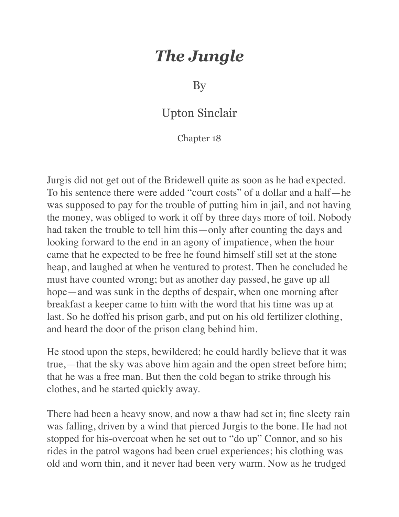## *The Jungle*

By

## Upton Sinclair

## Chapter 18

Jurgis did not get out of the Bridewell quite as soon as he had expected. To his sentence there were added "court costs" of a dollar and a half—he was supposed to pay for the trouble of putting him in jail, and not having the money, was obliged to work it off by three days more of toil. Nobody had taken the trouble to tell him this—only after counting the days and looking forward to the end in an agony of impatience, when the hour came that he expected to be free he found himself still set at the stone heap, and laughed at when he ventured to protest. Then he concluded he must have counted wrong; but as another day passed, he gave up all hope—and was sunk in the depths of despair, when one morning after breakfast a keeper came to him with the word that his time was up at last. So he doffed his prison garb, and put on his old fertilizer clothing, and heard the door of the prison clang behind him.

He stood upon the steps, bewildered; he could hardly believe that it was true,—that the sky was above him again and the open street before him; that he was a free man. But then the cold began to strike through his clothes, and he started quickly away.

There had been a heavy snow, and now a thaw had set in; fine sleety rain was falling, driven by a wind that pierced Jurgis to the bone. He had not stopped for his-overcoat when he set out to "do up" Connor, and so his rides in the patrol wagons had been cruel experiences; his clothing was old and worn thin, and it never had been very warm. Now as he trudged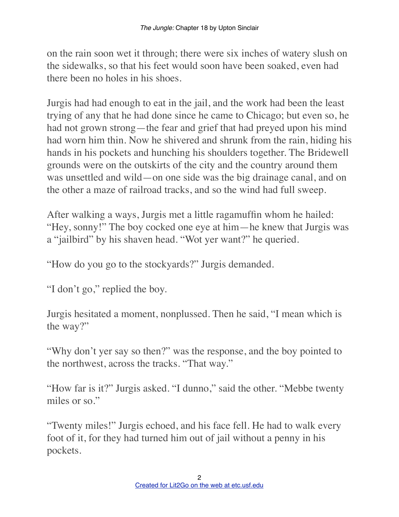on the rain soon wet it through; there were six inches of watery slush on the sidewalks, so that his feet would soon have been soaked, even had there been no holes in his shoes.

Jurgis had had enough to eat in the jail, and the work had been the least trying of any that he had done since he came to Chicago; but even so, he had not grown strong—the fear and grief that had preyed upon his mind had worn him thin. Now he shivered and shrunk from the rain, hiding his hands in his pockets and hunching his shoulders together. The Bridewell grounds were on the outskirts of the city and the country around them was unsettled and wild—on one side was the big drainage canal, and on the other a maze of railroad tracks, and so the wind had full sweep.

After walking a ways, Jurgis met a little ragamuffin whom he hailed: "Hey, sonny!" The boy cocked one eye at him—he knew that Jurgis was a "jailbird" by his shaven head. "Wot yer want?" he queried.

"How do you go to the stockyards?" Jurgis demanded.

"I don't go," replied the boy.

Jurgis hesitated a moment, nonplussed. Then he said, "I mean which is the way?"

"Why don't yer say so then?" was the response, and the boy pointed to the northwest, across the tracks. "That way."

"How far is it?" Jurgis asked. "I dunno," said the other. "Mebbe twenty miles or so."

"Twenty miles!" Jurgis echoed, and his face fell. He had to walk every foot of it, for they had turned him out of jail without a penny in his pockets.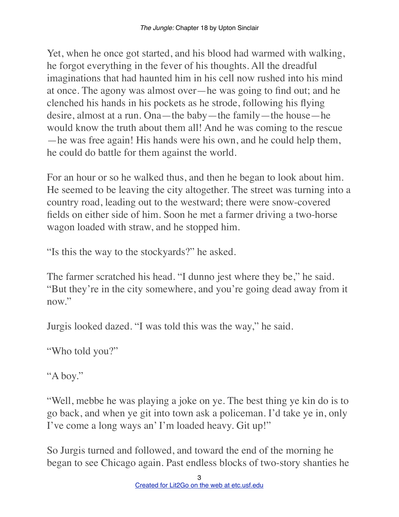Yet, when he once got started, and his blood had warmed with walking, he forgot everything in the fever of his thoughts. All the dreadful imaginations that had haunted him in his cell now rushed into his mind at once. The agony was almost over—he was going to find out; and he clenched his hands in his pockets as he strode, following his flying desire, almost at a run. Ona—the baby—the family—the house—he would know the truth about them all! And he was coming to the rescue —he was free again! His hands were his own, and he could help them, he could do battle for them against the world.

For an hour or so he walked thus, and then he began to look about him. He seemed to be leaving the city altogether. The street was turning into a country road, leading out to the westward; there were snow-covered fields on either side of him. Soon he met a farmer driving a two-horse wagon loaded with straw, and he stopped him.

"Is this the way to the stockyards?" he asked.

The farmer scratched his head. "I dunno jest where they be," he said. "But they're in the city somewhere, and you're going dead away from it now."

Jurgis looked dazed. "I was told this was the way," he said.

"Who told you?"

"A boy."

"Well, mebbe he was playing a joke on ye. The best thing ye kin do is to go back, and when ye git into town ask a policeman. I'd take ye in, only I've come a long ways an' I'm loaded heavy. Git up!"

So Jurgis turned and followed, and toward the end of the morning he began to see Chicago again. Past endless blocks of two-story shanties he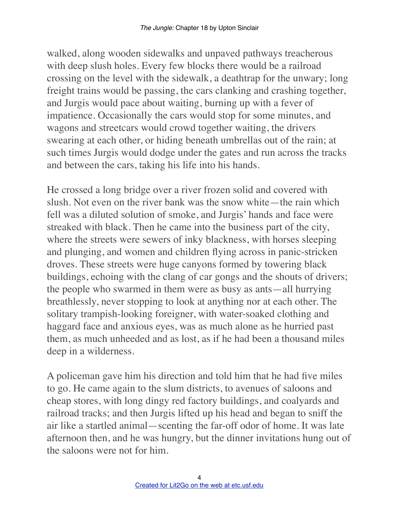walked, along wooden sidewalks and unpaved pathways treacherous with deep slush holes. Every few blocks there would be a railroad crossing on the level with the sidewalk, a deathtrap for the unwary; long freight trains would be passing, the cars clanking and crashing together, and Jurgis would pace about waiting, burning up with a fever of impatience. Occasionally the cars would stop for some minutes, and wagons and streetcars would crowd together waiting, the drivers swearing at each other, or hiding beneath umbrellas out of the rain; at such times Jurgis would dodge under the gates and run across the tracks and between the cars, taking his life into his hands.

He crossed a long bridge over a river frozen solid and covered with slush. Not even on the river bank was the snow white—the rain which fell was a diluted solution of smoke, and Jurgis' hands and face were streaked with black. Then he came into the business part of the city, where the streets were sewers of inky blackness, with horses sleeping and plunging, and women and children flying across in panic-stricken droves. These streets were huge canyons formed by towering black buildings, echoing with the clang of car gongs and the shouts of drivers; the people who swarmed in them were as busy as ants—all hurrying breathlessly, never stopping to look at anything nor at each other. The solitary trampish-looking foreigner, with water-soaked clothing and haggard face and anxious eyes, was as much alone as he hurried past them, as much unheeded and as lost, as if he had been a thousand miles deep in a wilderness.

A policeman gave him his direction and told him that he had five miles to go. He came again to the slum districts, to avenues of saloons and cheap stores, with long dingy red factory buildings, and coalyards and railroad tracks; and then Jurgis lifted up his head and began to sniff the air like a startled animal—scenting the far-off odor of home. It was late afternoon then, and he was hungry, but the dinner invitations hung out of the saloons were not for him.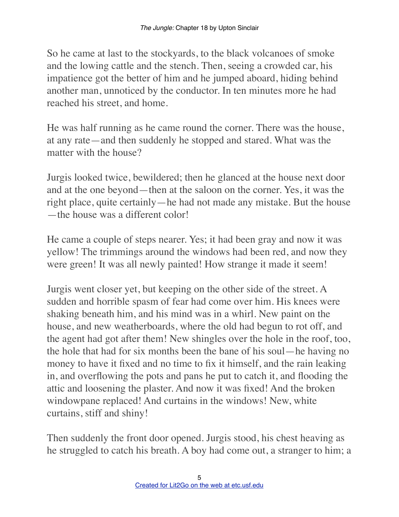So he came at last to the stockyards, to the black volcanoes of smoke and the lowing cattle and the stench. Then, seeing a crowded car, his impatience got the better of him and he jumped aboard, hiding behind another man, unnoticed by the conductor. In ten minutes more he had reached his street, and home.

He was half running as he came round the corner. There was the house, at any rate—and then suddenly he stopped and stared. What was the matter with the house?

Jurgis looked twice, bewildered; then he glanced at the house next door and at the one beyond—then at the saloon on the corner. Yes, it was the right place, quite certainly—he had not made any mistake. But the house —the house was a different color!

He came a couple of steps nearer. Yes; it had been gray and now it was yellow! The trimmings around the windows had been red, and now they were green! It was all newly painted! How strange it made it seem!

Jurgis went closer yet, but keeping on the other side of the street. A sudden and horrible spasm of fear had come over him. His knees were shaking beneath him, and his mind was in a whirl. New paint on the house, and new weatherboards, where the old had begun to rot off, and the agent had got after them! New shingles over the hole in the roof, too, the hole that had for six months been the bane of his soul—he having no money to have it fixed and no time to fix it himself, and the rain leaking in, and overflowing the pots and pans he put to catch it, and flooding the attic and loosening the plaster. And now it was fixed! And the broken windowpane replaced! And curtains in the windows! New, white curtains, stiff and shiny!

Then suddenly the front door opened. Jurgis stood, his chest heaving as he struggled to catch his breath. A boy had come out, a stranger to him; a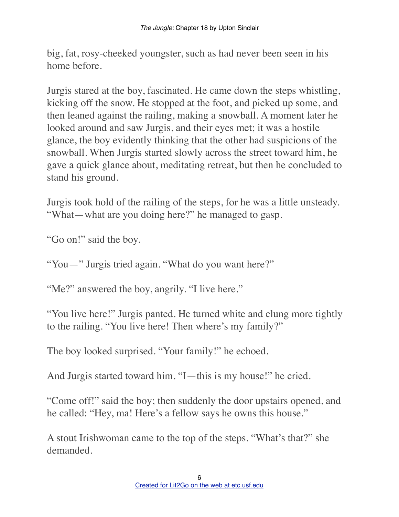big, fat, rosy-cheeked youngster, such as had never been seen in his home before.

Jurgis stared at the boy, fascinated. He came down the steps whistling, kicking off the snow. He stopped at the foot, and picked up some, and then leaned against the railing, making a snowball. A moment later he looked around and saw Jurgis, and their eyes met; it was a hostile glance, the boy evidently thinking that the other had suspicions of the snowball. When Jurgis started slowly across the street toward him, he gave a quick glance about, meditating retreat, but then he concluded to stand his ground.

Jurgis took hold of the railing of the steps, for he was a little unsteady. "What—what are you doing here?" he managed to gasp.

"Go on!" said the boy.

"You—" Jurgis tried again. "What do you want here?"

"Me?" answered the boy, angrily. "I live here."

"You live here!" Jurgis panted. He turned white and clung more tightly to the railing. "You live here! Then where's my family?"

The boy looked surprised. "Your family!" he echoed.

And Jurgis started toward him. "I—this is my house!" he cried.

"Come off!" said the boy; then suddenly the door upstairs opened, and he called: "Hey, ma! Here's a fellow says he owns this house."

A stout Irishwoman came to the top of the steps. "What's that?" she demanded.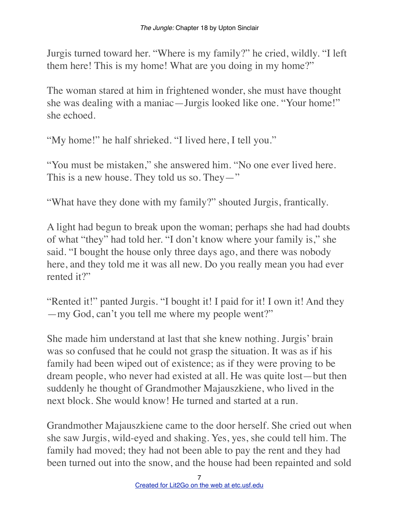Jurgis turned toward her. "Where is my family?" he cried, wildly. "I left them here! This is my home! What are you doing in my home?"

The woman stared at him in frightened wonder, she must have thought she was dealing with a maniac—Jurgis looked like one. "Your home!" she echoed.

"My home!" he half shrieked. "I lived here, I tell you."

"You must be mistaken," she answered him. "No one ever lived here. This is a new house. They told us so. They—"

"What have they done with my family?" shouted Jurgis, frantically.

A light had begun to break upon the woman; perhaps she had had doubts of what "they" had told her. "I don't know where your family is," she said. "I bought the house only three days ago, and there was nobody here, and they told me it was all new. Do you really mean you had ever rented it?"

"Rented it!" panted Jurgis. "I bought it! I paid for it! I own it! And they —my God, can't you tell me where my people went?"

She made him understand at last that she knew nothing. Jurgis' brain was so confused that he could not grasp the situation. It was as if his family had been wiped out of existence; as if they were proving to be dream people, who never had existed at all. He was quite lost—but then suddenly he thought of Grandmother Majauszkiene, who lived in the next block. She would know! He turned and started at a run.

Grandmother Majauszkiene came to the door herself. She cried out when she saw Jurgis, wild-eyed and shaking. Yes, yes, she could tell him. The family had moved; they had not been able to pay the rent and they had been turned out into the snow, and the house had been repainted and sold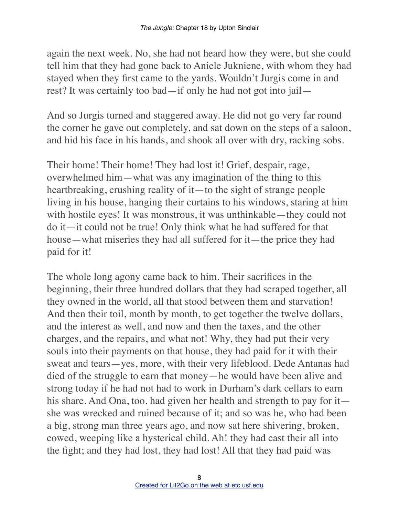again the next week. No, she had not heard how they were, but she could tell him that they had gone back to Aniele Jukniene, with whom they had stayed when they first came to the yards. Wouldn't Jurgis come in and rest? It was certainly too bad—if only he had not got into jail—

And so Jurgis turned and staggered away. He did not go very far round the corner he gave out completely, and sat down on the steps of a saloon, and hid his face in his hands, and shook all over with dry, racking sobs.

Their home! Their home! They had lost it! Grief, despair, rage, overwhelmed him—what was any imagination of the thing to this heartbreaking, crushing reality of it—to the sight of strange people living in his house, hanging their curtains to his windows, staring at him with hostile eyes! It was monstrous, it was unthinkable—they could not do it—it could not be true! Only think what he had suffered for that house—what miseries they had all suffered for it—the price they had paid for it!

The whole long agony came back to him. Their sacrifices in the beginning, their three hundred dollars that they had scraped together, all they owned in the world, all that stood between them and starvation! And then their toil, month by month, to get together the twelve dollars, and the interest as well, and now and then the taxes, and the other charges, and the repairs, and what not! Why, they had put their very souls into their payments on that house, they had paid for it with their sweat and tears—yes, more, with their very lifeblood. Dede Antanas had died of the struggle to earn that money—he would have been alive and strong today if he had not had to work in Durham's dark cellars to earn his share. And Ona, too, had given her health and strength to pay for it she was wrecked and ruined because of it; and so was he, who had been a big, strong man three years ago, and now sat here shivering, broken, cowed, weeping like a hysterical child. Ah! they had cast their all into the fight; and they had lost, they had lost! All that they had paid was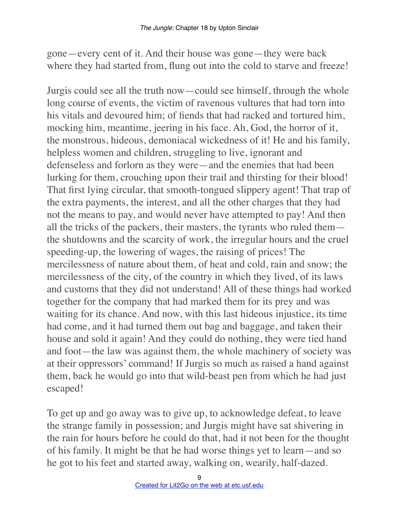gone—every cent of it. And their house was gone—they were back where they had started from, flung out into the cold to starve and freeze!

Jurgis could see all the truth now—could see himself, through the whole long course of events, the victim of ravenous vultures that had torn into his vitals and devoured him; of fiends that had racked and tortured him, mocking him, meantime, jeering in his face. Ah, God, the horror of it, the monstrous, hideous, demoniacal wickedness of it! He and his family, helpless women and children, struggling to live, ignorant and defenseless and forlorn as they were—and the enemies that had been lurking for them, crouching upon their trail and thirsting for their blood! That first lying circular, that smooth-tongued slippery agent! That trap of the extra payments, the interest, and all the other charges that they had not the means to pay, and would never have attempted to pay! And then all the tricks of the packers, their masters, the tyrants who ruled them the shutdowns and the scarcity of work, the irregular hours and the cruel speeding-up, the lowering of wages, the raising of prices! The mercilessness of nature about them, of heat and cold, rain and snow; the mercilessness of the city, of the country in which they lived, of its laws and customs that they did not understand! All of these things had worked together for the company that had marked them for its prey and was waiting for its chance. And now, with this last hideous injustice, its time had come, and it had turned them out bag and baggage, and taken their house and sold it again! And they could do nothing, they were tied hand and foot—the law was against them, the whole machinery of society was at their oppressors' command! If Jurgis so much as raised a hand against them, back he would go into that wild-beast pen from which he had just escaped!

To get up and go away was to give up, to acknowledge defeat, to leave the strange family in possession; and Jurgis might have sat shivering in the rain for hours before he could do that, had it not been for the thought of his family. It might be that he had worse things yet to learn—and so he got to his feet and started away, walking on, wearily, half-dazed.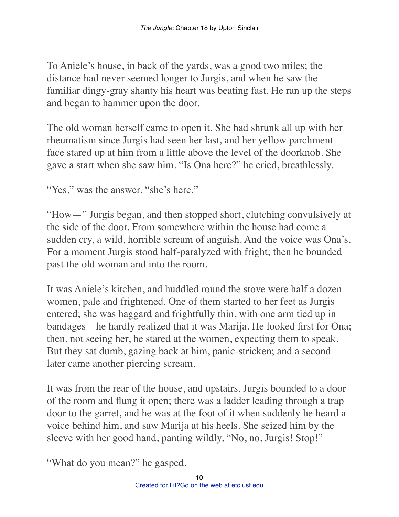To Aniele's house, in back of the yards, was a good two miles; the distance had never seemed longer to Jurgis, and when he saw the familiar dingy-gray shanty his heart was beating fast. He ran up the steps and began to hammer upon the door.

The old woman herself came to open it. She had shrunk all up with her rheumatism since Jurgis had seen her last, and her yellow parchment face stared up at him from a little above the level of the doorknob. She gave a start when she saw him. "Is Ona here?" he cried, breathlessly.

"Yes," was the answer, "she's here."

"How—" Jurgis began, and then stopped short, clutching convulsively at the side of the door. From somewhere within the house had come a sudden cry, a wild, horrible scream of anguish. And the voice was Ona's. For a moment Jurgis stood half-paralyzed with fright; then he bounded past the old woman and into the room.

It was Aniele's kitchen, and huddled round the stove were half a dozen women, pale and frightened. One of them started to her feet as Jurgis entered; she was haggard and frightfully thin, with one arm tied up in bandages—he hardly realized that it was Marija. He looked first for Ona; then, not seeing her, he stared at the women, expecting them to speak. But they sat dumb, gazing back at him, panic-stricken; and a second later came another piercing scream.

It was from the rear of the house, and upstairs. Jurgis bounded to a door of the room and flung it open; there was a ladder leading through a trap door to the garret, and he was at the foot of it when suddenly he heard a voice behind him, and saw Marija at his heels. She seized him by the sleeve with her good hand, panting wildly, "No, no, Jurgis! Stop!"

"What do you mean?" he gasped.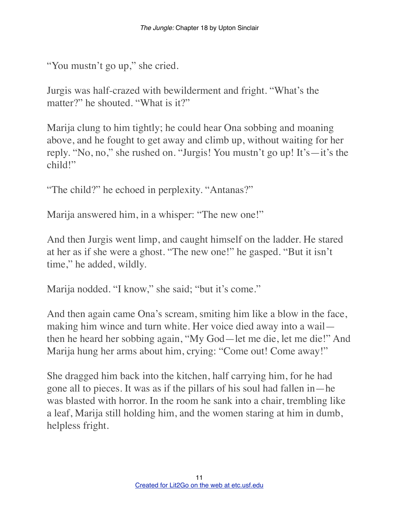```
"You mustn't go up," she cried.
```
Jurgis was half-crazed with bewilderment and fright. "What's the matter?" he shouted. "What is it?"

Marija clung to him tightly; he could hear Ona sobbing and moaning above, and he fought to get away and climb up, without waiting for her reply. "No, no," she rushed on. "Jurgis! You mustn't go up! It's—it's the child!"

"The child?" he echoed in perplexity. "Antanas?"

Marija answered him, in a whisper: "The new one!"

And then Jurgis went limp, and caught himself on the ladder. He stared at her as if she were a ghost. "The new one!" he gasped. "But it isn't time," he added, wildly.

Marija nodded. "I know," she said; "but it's come."

And then again came Ona's scream, smiting him like a blow in the face, making him wince and turn white. Her voice died away into a wail then he heard her sobbing again, "My God—let me die, let me die!" And Marija hung her arms about him, crying: "Come out! Come away!"

She dragged him back into the kitchen, half carrying him, for he had gone all to pieces. It was as if the pillars of his soul had fallen in—he was blasted with horror. In the room he sank into a chair, trembling like a leaf, Marija still holding him, and the women staring at him in dumb, helpless fright.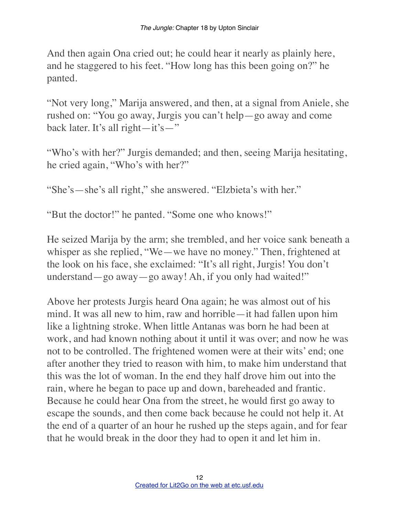And then again Ona cried out; he could hear it nearly as plainly here, and he staggered to his feet. "How long has this been going on?" he panted.

"Not very long," Marija answered, and then, at a signal from Aniele, she rushed on: "You go away, Jurgis you can't help—go away and come back later. It's all right—it's—"

"Who's with her?" Jurgis demanded; and then, seeing Marija hesitating, he cried again, "Who's with her?"

"She's—she's all right," she answered. "Elzbieta's with her."

"But the doctor!" he panted. "Some one who knows!"

He seized Marija by the arm; she trembled, and her voice sank beneath a whisper as she replied, "We—we have no money." Then, frightened at the look on his face, she exclaimed: "It's all right, Jurgis! You don't understand—go away—go away! Ah, if you only had waited!"

Above her protests Jurgis heard Ona again; he was almost out of his mind. It was all new to him, raw and horrible—it had fallen upon him like a lightning stroke. When little Antanas was born he had been at work, and had known nothing about it until it was over; and now he was not to be controlled. The frightened women were at their wits' end; one after another they tried to reason with him, to make him understand that this was the lot of woman. In the end they half drove him out into the rain, where he began to pace up and down, bareheaded and frantic. Because he could hear Ona from the street, he would first go away to escape the sounds, and then come back because he could not help it. At the end of a quarter of an hour he rushed up the steps again, and for fear that he would break in the door they had to open it and let him in.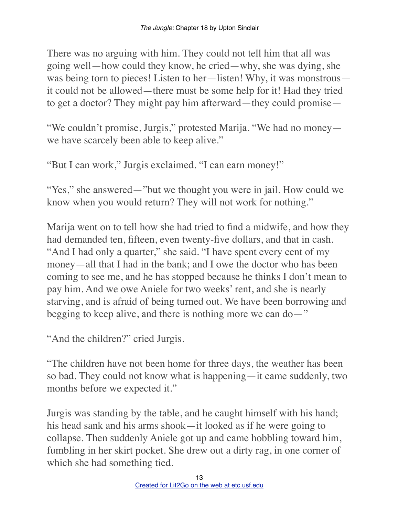There was no arguing with him. They could not tell him that all was going well—how could they know, he cried—why, she was dying, she was being torn to pieces! Listen to her—listen! Why, it was monstrous it could not be allowed—there must be some help for it! Had they tried to get a doctor? They might pay him afterward—they could promise—

"We couldn't promise, Jurgis," protested Marija. "We had no money we have scarcely been able to keep alive."

"But I can work," Jurgis exclaimed. "I can earn money!"

"Yes," she answered—"but we thought you were in jail. How could we know when you would return? They will not work for nothing."

Marija went on to tell how she had tried to find a midwife, and how they had demanded ten, fifteen, even twenty-five dollars, and that in cash. "And I had only a quarter," she said. "I have spent every cent of my money—all that I had in the bank; and I owe the doctor who has been coming to see me, and he has stopped because he thinks I don't mean to pay him. And we owe Aniele for two weeks' rent, and she is nearly starving, and is afraid of being turned out. We have been borrowing and begging to keep alive, and there is nothing more we can do—"

"And the children?" cried Jurgis.

"The children have not been home for three days, the weather has been so bad. They could not know what is happening—it came suddenly, two months before we expected it."

Jurgis was standing by the table, and he caught himself with his hand; his head sank and his arms shook—it looked as if he were going to collapse. Then suddenly Aniele got up and came hobbling toward him, fumbling in her skirt pocket. She drew out a dirty rag, in one corner of which she had something tied.